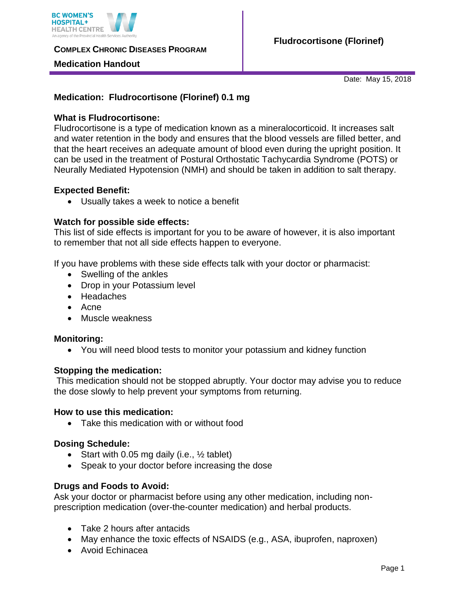

**COMPLEX CHRONIC DISEASES PROGRAM** 

### **Medication Handout**

Date: May 15, 2018

# **Medication: Fludrocortisone (Florinef) 0.1 mg**

## **What is Fludrocortisone:**

Fludrocortisone is a type of medication known as a mineralocorticoid. It increases salt and water retention in the body and ensures that the blood vessels are filled better, and that the heart receives an adequate amount of blood even during the upright position. It can be used in the treatment of Postural Orthostatic Tachycardia Syndrome (POTS) or Neurally Mediated Hypotension (NMH) and should be taken in addition to salt therapy.

### **Expected Benefit:**

Usually takes a week to notice a benefit

#### **Watch for possible side effects:**

This list of side effects is important for you to be aware of however, it is also important to remember that not all side effects happen to everyone.

If you have problems with these side effects talk with your doctor or pharmacist:

- Swelling of the ankles
- Drop in your Potassium level
- Headaches
- Acne
- Muscle weakness

#### **Monitoring:**

You will need blood tests to monitor your potassium and kidney function

#### **Stopping the medication:**

This medication should not be stopped abruptly. Your doctor may advise you to reduce the dose slowly to help prevent your symptoms from returning.

#### **How to use this medication:**

Take this medication with or without food

## **Dosing Schedule:**

- Start with 0.05 mg daily (i.e.,  $\frac{1}{2}$  tablet)
- Speak to your doctor before increasing the dose

## **Drugs and Foods to Avoid:**

Ask your doctor or pharmacist before using any other medication, including nonprescription medication (over-the-counter medication) and herbal products.

- Take 2 hours after antacids
- May enhance the toxic effects of NSAIDS (e.g., ASA, ibuprofen, naproxen)
- Avoid Echinacea